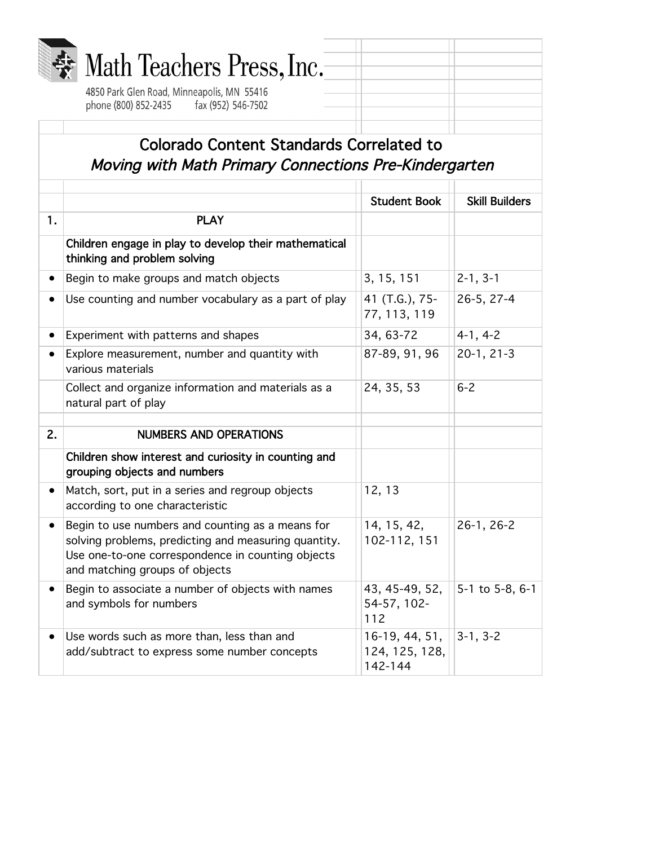| <b>Wath Teachers Press, Inc.</b>            |  |
|---------------------------------------------|--|
| AREO Bark Clap Board Minnesonalis MMI EEA1C |  |

4850 Park Glen Road, Minneapolis, MN 55416 phone (800) 852-2435 fax (952) 546-7502

## Colorado Content Standards Correlated to Moving with Math Primary Connections Pre-Kindergarten

|           |                                                                                                                                                                                                 | <b>Student Book</b>                         | <b>Skill Builders</b> |
|-----------|-------------------------------------------------------------------------------------------------------------------------------------------------------------------------------------------------|---------------------------------------------|-----------------------|
| 1.        | <b>PLAY</b>                                                                                                                                                                                     |                                             |                       |
|           | Children engage in play to develop their mathematical<br>thinking and problem solving                                                                                                           |                                             |                       |
| $\bullet$ | Begin to make groups and match objects                                                                                                                                                          | 3, 15, 151                                  | $2 - 1, 3 - 1$        |
|           | Use counting and number vocabulary as a part of play                                                                                                                                            | 41 (T.G.), 75-<br>77, 113, 119              | 26-5, 27-4            |
|           | Experiment with patterns and shapes                                                                                                                                                             | 34, 63-72                                   | $4-1, 4-2$            |
|           | Explore measurement, number and quantity with<br>various materials                                                                                                                              | 87-89, 91, 96                               | $20-1, 21-3$          |
|           | Collect and organize information and materials as a<br>natural part of play                                                                                                                     | 24, 35, 53                                  | $6 - 2$               |
|           |                                                                                                                                                                                                 |                                             |                       |
| 2.        | <b>NUMBERS AND OPERATIONS</b>                                                                                                                                                                   |                                             |                       |
|           | Children show interest and curiosity in counting and<br>grouping objects and numbers                                                                                                            |                                             |                       |
|           | Match, sort, put in a series and regroup objects<br>according to one characteristic                                                                                                             | 12, 13                                      |                       |
|           | Begin to use numbers and counting as a means for<br>solving problems, predicting and measuring quantity.<br>Use one-to-one correspondence in counting objects<br>and matching groups of objects | 14, 15, 42,<br>102-112, 151                 | 26-1, 26-2            |
|           | Begin to associate a number of objects with names<br>and symbols for numbers                                                                                                                    | 43, 45-49, 52,<br>54-57, 102-<br>112        | 5-1 to 5-8, 6-1       |
|           | Use words such as more than, less than and<br>add/subtract to express some number concepts                                                                                                      | 16-19, 44, 51,<br>124, 125, 128,<br>142-144 | $3-1, 3-2$            |